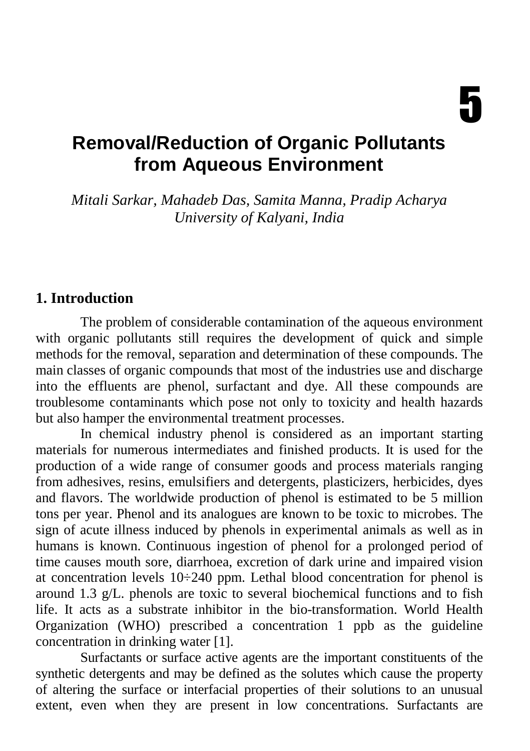# **Removal/Reduction of Organic Pollutants from Aqueous Environment**

*Mitali Sarkar, Mahadeb Das, Samita Manna, Pradip Acharya University of Kalyani, India* 

#### **1. Introduction**

The problem of considerable contamination of the aqueous environment with organic pollutants still requires the development of quick and simple methods for the removal, separation and determination of these compounds. The main classes of organic compounds that most of the industries use and discharge into the effluents are phenol, surfactant and dye. All these compounds are troublesome contaminants which pose not only to toxicity and health hazards but also hamper the environmental treatment processes.

In chemical industry phenol is considered as an important starting materials for numerous intermediates and finished products. It is used for the production of a wide range of consumer goods and process materials ranging from adhesives, resins, emulsifiers and detergents, plasticizers, herbicides, dyes and flavors. The worldwide production of phenol is estimated to be 5 million tons per year. Phenol and its analogues are known to be toxic to microbes. The sign of acute illness induced by phenols in experimental animals as well as in humans is known. Continuous ingestion of phenol for a prolonged period of time causes mouth sore, diarrhoea, excretion of dark urine and impaired vision at concentration levels  $10\div 240$  ppm. Lethal blood concentration for phenol is around 1.3  $g/L$ , phenols are toxic to several biochemical functions and to fish life. It acts as a substrate inhibitor in the bio-transformation. World Health Organization (WHO) prescribed a concentration 1 ppb as the guideline concentration in drinking water [1].

Surfactants or surface active agents are the important constituents of the synthetic detergents and may be defined as the solutes which cause the property of altering the surface or interfacial properties of their solutions to an unusual extent, even when they are present in low concentrations. Surfactants are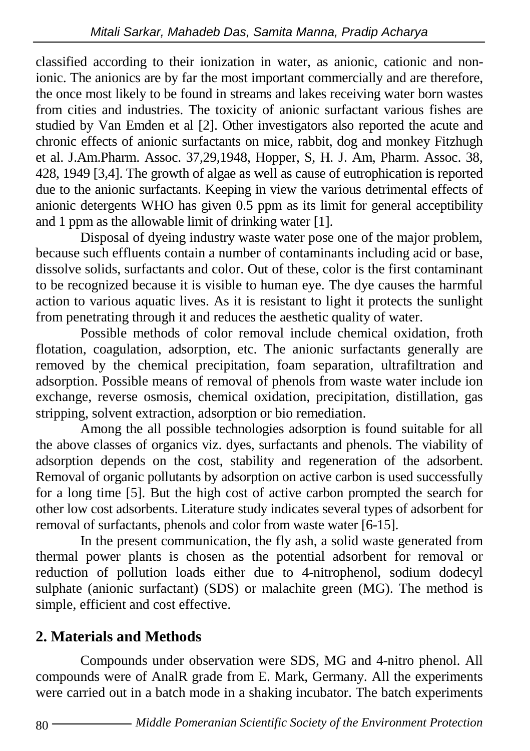classified according to their ionization in water, as anionic, cationic and nonionic. The anionics are by far the most important commercially and are therefore, the once most likely to be found in streams and lakes receiving water born wastes from cities and industries. The toxicity of anionic surfactant various fishes are studied by Van Emden et al [2]. Other investigators also reported the acute and chronic effects of anionic surfactants on mice, rabbit, dog and monkey Fitzhugh et al. J.Am.Pharm. Assoc. 37,29,1948, Hopper, S, H. J. Am, Pharm. Assoc. 38, 428, 1949 [3,4]. The growth of algae as well as cause of eutrophication is reported due to the anionic surfactants. Keeping in view the various detrimental effects of anionic detergents WHO has given 0.5 ppm as its limit for general acceptibility and 1 ppm as the allowable limit of drinking water [1].

Disposal of dyeing industry waste water pose one of the major problem, because such effluents contain a number of contaminants including acid or base, dissolve solids, surfactants and color. Out of these, color is the first contaminant to be recognized because it is visible to human eye. The dye causes the harmful action to various aquatic lives. As it is resistant to light it protects the sunlight from penetrating through it and reduces the aesthetic quality of water.

Possible methods of color removal include chemical oxidation, froth flotation, coagulation, adsorption, etc. The anionic surfactants generally are removed by the chemical precipitation, foam separation, ultrafiltration and adsorption. Possible means of removal of phenols from waste water include ion exchange, reverse osmosis, chemical oxidation, precipitation, distillation, gas stripping, solvent extraction, adsorption or bio remediation.

Among the all possible technologies adsorption is found suitable for all the above classes of organics viz. dyes, surfactants and phenols. The viability of adsorption depends on the cost, stability and regeneration of the adsorbent. Removal of organic pollutants by adsorption on active carbon is used successfully for a long time [5]. But the high cost of active carbon prompted the search for other low cost adsorbents. Literature study indicates several types of adsorbent for removal of surfactants, phenols and color from waste water [6-15].

In the present communication, the fly ash, a solid waste generated from thermal power plants is chosen as the potential adsorbent for removal or reduction of pollution loads either due to 4-nitrophenol, sodium dodecyl sulphate (anionic surfactant) (SDS) or malachite green (MG). The method is simple, efficient and cost effective.

## **2. Materials and Methods**

Compounds under observation were SDS, MG and 4-nitro phenol. All compounds were of AnalR grade from E. Mark, Germany. All the experiments were carried out in a batch mode in a shaking incubator. The batch experiments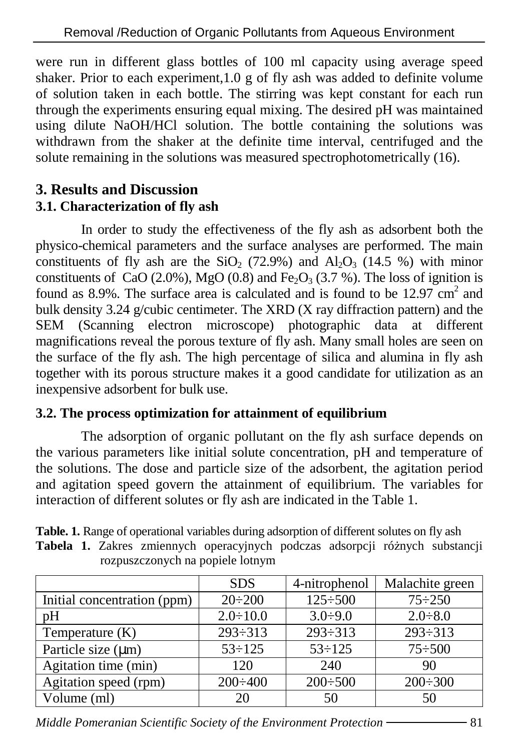were run in different glass bottles of 100 ml capacity using average speed shaker. Prior to each experiment,1.0 g of fly ash was added to definite volume of solution taken in each bottle. The stirring was kept constant for each run through the experiments ensuring equal mixing. The desired pH was maintained using dilute NaOH/HCl solution. The bottle containing the solutions was withdrawn from the shaker at the definite time interval, centrifuged and the solute remaining in the solutions was measured spectrophotometrically (16).

## **3. Results and Discussion**

## **3.1. Characterization of fly ash**

In order to study the effectiveness of the fly ash as adsorbent both the physico-chemical parameters and the surface analyses are performed. The main constituents of fly ash are the SiO<sub>2</sub> (72.9%) and Al<sub>2</sub>O<sub>3</sub> (14.5 %) with minor constituents of CaO (2.0%), MgO (0.8) and Fe<sub>2</sub>O<sub>3</sub> (3.7 %). The loss of ignition is found as 8.9%. The surface area is calculated and is found to be  $12.97 \text{ cm}^2$  and bulk density 3.24 g/cubic centimeter. The XRD (X ray diffraction pattern) and the SEM (Scanning electron microscope) photographic data at different magnifications reveal the porous texture of fly ash. Many small holes are seen on the surface of the fly ash. The high percentage of silica and alumina in fly ash together with its porous structure makes it a good candidate for utilization as an inexpensive adsorbent for bulk use.

### **3.2. The process optimization for attainment of equilibrium**

The adsorption of organic pollutant on the fly ash surface depends on the various parameters like initial solute concentration, pH and temperature of the solutions. The dose and particle size of the adsorbent, the agitation period and agitation speed govern the attainment of equilibrium. The variables for interaction of different solutes or fly ash are indicated in the Table 1.

| <b>Table. 1.</b> Range of operational variables during adsorption of different solutes on fly ash |                                  |  |  |                                                                              |  |  |  |  |
|---------------------------------------------------------------------------------------------------|----------------------------------|--|--|------------------------------------------------------------------------------|--|--|--|--|
|                                                                                                   |                                  |  |  | Tabela 1. Zakres zmiennych operacyjnych podczas adsorpcji różnych substancji |  |  |  |  |
|                                                                                                   | rozpuszczonych na popiele lotnym |  |  |                                                                              |  |  |  |  |

|                             | <b>SDS</b>      | 4-nitrophenol  | Malachite green |
|-----------------------------|-----------------|----------------|-----------------|
| Initial concentration (ppm) | $20 \div 200$   | $125 \div 500$ | $75 \div 250$   |
| pH                          | $2.0 \div 10.0$ | $3.0 \div 9.0$ | $2.0 \div 8.0$  |
| Temperature $(K)$           | $293 \div 313$  | $293 \div 313$ | $293 \div 313$  |
| Particle size $(\mu m)$     | $53 \div 125$   | $53 \div 125$  | $75 \div 500$   |
| Agitation time (min)        | 120             | 240            | 90              |
| Agitation speed (rpm)       | $200 \div 400$  | $200 \div 500$ | $200 \div 300$  |
| Volume (ml)                 | 20              | 50             | 50              |

*Middle Pomeranian Scientific Society of the Environment Protection* 81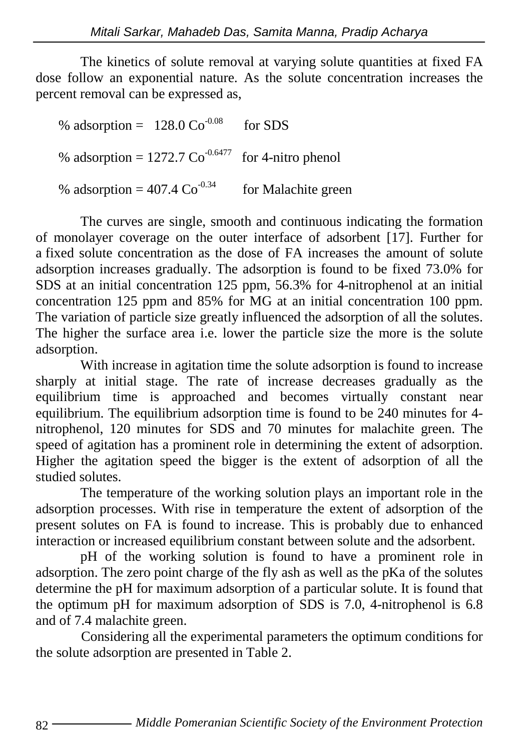The kinetics of solute removal at varying solute quantities at fixed FA dose follow an exponential nature. As the solute concentration increases the percent removal can be expressed as,

% adsorption =  $128.0 \text{ Co}^{0.08}$  for SDS % adsorption =  $1272.7 \text{ Co}^{0.6477}$  for 4-nitro phenol % adsorption =  $407.4 \text{ Co}^{0.34}$  for Malachite green

The curves are single, smooth and continuous indicating the formation of monolayer coverage on the outer interface of adsorbent [17]. Further for a fixed solute concentration as the dose of FA increases the amount of solute adsorption increases gradually. The adsorption is found to be fixed 73.0% for SDS at an initial concentration 125 ppm, 56.3% for 4-nitrophenol at an initial concentration 125 ppm and 85% for MG at an initial concentration 100 ppm. The variation of particle size greatly influenced the adsorption of all the solutes. The higher the surface area i.e. lower the particle size the more is the solute adsorption.

With increase in agitation time the solute adsorption is found to increase sharply at initial stage. The rate of increase decreases gradually as the equilibrium time is approached and becomes virtually constant near equilibrium. The equilibrium adsorption time is found to be 240 minutes for 4 nitrophenol, 120 minutes for SDS and 70 minutes for malachite green. The speed of agitation has a prominent role in determining the extent of adsorption. Higher the agitation speed the bigger is the extent of adsorption of all the studied solutes.

The temperature of the working solution plays an important role in the adsorption processes. With rise in temperature the extent of adsorption of the present solutes on FA is found to increase. This is probably due to enhanced interaction or increased equilibrium constant between solute and the adsorbent.

pH of the working solution is found to have a prominent role in adsorption. The zero point charge of the fly ash as well as the pKa of the solutes determine the pH for maximum adsorption of a particular solute. It is found that the optimum pH for maximum adsorption of SDS is 7.0, 4-nitrophenol is 6.8 and of 7.4 malachite green.

 Considering all the experimental parameters the optimum conditions for the solute adsorption are presented in Table 2.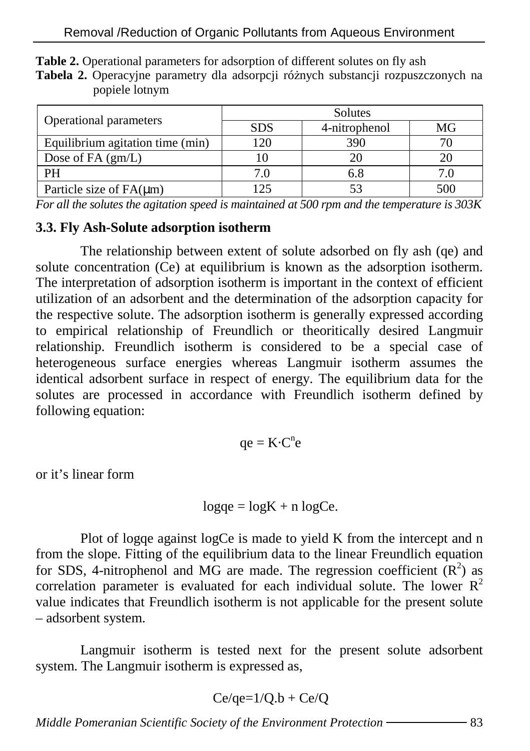|                                  | Solutes    |               |     |  |  |
|----------------------------------|------------|---------------|-----|--|--|
| Operational parameters           | <b>SDS</b> | 4-nitrophenol | MG  |  |  |
| Equilibrium agitation time (min) | 120        | 390           |     |  |  |
| Dose of $FA(gm/L)$               | 10         |               |     |  |  |
| PH                               | 7.O        | 6.8           |     |  |  |
| Particle size of $FA(\mu m)$     | 125        |               | 500 |  |  |

**Table 2.** Operational parameters for adsorption of different solutes on fly ash

Tabela 2. Operacyjne parametry dla adsorpcji różnych substancji rozpuszczonych na popiele lotnym

*For all the solutes the agitation speed is maintained at 500 rpm and the temperature is 303K* 

#### **3.3. Fly Ash-Solute adsorption isotherm**

The relationship between extent of solute adsorbed on fly ash (qe) and solute concentration (Ce) at equilibrium is known as the adsorption isotherm. The interpretation of adsorption isotherm is important in the context of efficient utilization of an adsorbent and the determination of the adsorption capacity for the respective solute. The adsorption isotherm is generally expressed according to empirical relationship of Freundlich or theoritically desired Langmuir relationship. Freundlich isotherm is considered to be a special case of heterogeneous surface energies whereas Langmuir isotherm assumes the identical adsorbent surface in respect of energy. The equilibrium data for the solutes are processed in accordance with Freundlich isotherm defined by following equation:

 $qe = K \cdot C^n e$ 

or it's linear form

$$
logqe = logK + n logCe.
$$

Plot of logqe against logCe is made to yield K from the intercept and n from the slope. Fitting of the equilibrium data to the linear Freundlich equation for SDS, 4-nitrophenol and MG are made. The regression coefficient  $(R^2)$  as correlation parameter is evaluated for each individual solute. The lower  $R^2$ value indicates that Freundlich isotherm is not applicable for the present solute – adsorbent system.

Langmuir isotherm is tested next for the present solute adsorbent system. The Langmuir isotherm is expressed as,

$$
Ce/qe=1/Q.b + Ce/Q
$$

*Middle Pomeranian Scientific Society of the Environment Protection* 83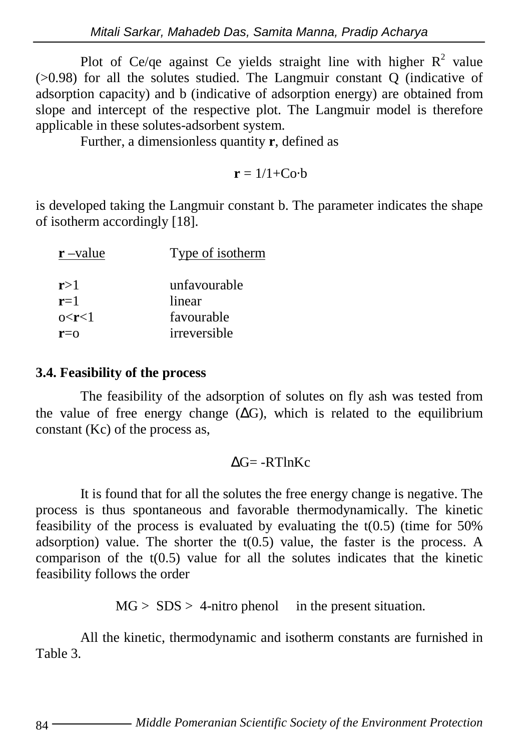Plot of Ce/qe against Ce yields straight line with higher  $R^2$  value (>0.98) for all the solutes studied. The Langmuir constant Q (indicative of adsorption capacity) and b (indicative of adsorption energy) are obtained from slope and intercept of the respective plot. The Langmuir model is therefore applicable in these solutes-adsorbent system.

Further, a dimensionless quantity **r**, defined as

$$
\bm{r}=1/1{+}Co{\cdot}b
$$

is developed taking the Langmuir constant b. The parameter indicates the shape of isotherm accordingly [18].

| $r$ –value | Type of isotherm |  |
|------------|------------------|--|
| r>1        | unfavourable     |  |
| $r=1$      | linear           |  |
| 0 < r < 1  | favourable       |  |
| $r = 0$    | irreversible     |  |

#### **3.4. Feasibility of the process**

The feasibility of the adsorption of solutes on fly ash was tested from the value of free energy change  $(ΔG)$ , which is related to the equilibrium constant (Kc) of the process as,

#### $\Delta G$ = -RTlnKc

It is found that for all the solutes the free energy change is negative. The process is thus spontaneous and favorable thermodynamically. The kinetic feasibility of the process is evaluated by evaluating the  $t(0.5)$  (time for 50%) adsorption) value. The shorter the  $t(0.5)$  value, the faster is the process. A comparison of the  $t(0.5)$  value for all the solutes indicates that the kinetic feasibility follows the order

 $MG > SDS > 4$ -nitro phenol in the present situation.

All the kinetic, thermodynamic and isotherm constants are furnished in Table 3.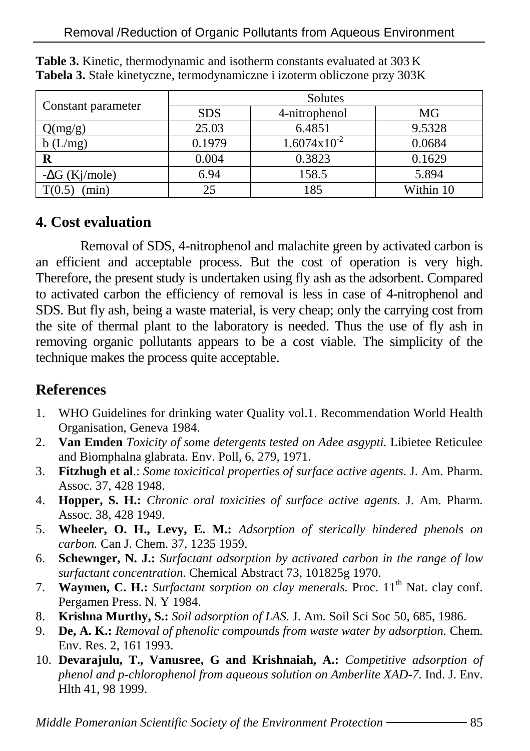|                       | Solutes    |                         |           |  |  |
|-----------------------|------------|-------------------------|-----------|--|--|
| Constant parameter    | <b>SDS</b> | 4-nitrophenol           | MG        |  |  |
| Q(mg/g)               | 25.03      | 6.4851                  | 9.5328    |  |  |
| b(L/mg)               | 0.1979     | $1.6074 \times 10^{-2}$ | 0.0684    |  |  |
|                       | 0.004      | 0.3823                  | 0.1629    |  |  |
| $-\Delta G$ (Kj/mole) | 6.94       | 158.5                   | 5.894     |  |  |
| min)                  |            | 185                     | Within 10 |  |  |

Table 3. Kinetic, thermodynamic and isotherm constants evaluated at 303 K **Tabela 3.** Stałe kinetyczne, termodynamiczne i izoterm obliczone przy 303K

## **4. Cost evaluation**

Removal of SDS, 4-nitrophenol and malachite green by activated carbon is an efficient and acceptable process. But the cost of operation is very high. Therefore, the present study is undertaken using fly ash as the adsorbent. Compared to activated carbon the efficiency of removal is less in case of 4-nitrophenol and SDS. But fly ash, being a waste material, is very cheap; only the carrying cost from the site of thermal plant to the laboratory is needed. Thus the use of fly ash in removing organic pollutants appears to be a cost viable. The simplicity of the technique makes the process quite acceptable.

### **References**

- 1. WHO Guidelines for drinking water Quality vol.1. Recommendation World Health Organisation, Geneva 1984.
- 2. **Van Emden** *Toxicity of some detergents tested on Adee asgypti.* Libietee Reticulee and Biomphalna glabrata. Env. Poll, 6, 279, 1971.
- 3. **Fitzhugh et al**.: *Some toxicitical properties of surface active agents*. J. Am. Pharm. Assoc. 37, 428 1948.
- 4. **Hopper, S. H.:** *Chronic oral toxicities of surface active agents.* J. Am. Pharm. Assoc. 38, 428 1949.
- 5. **Wheeler, O. H., Levy, E. M.:** *Adsorption of sterically hindered phenols on carbon.* Can J. Chem. 37, 1235 1959.
- 6. **Schewnger, N. J.:** *Surfactant adsorption by activated carbon in the range of low surfactant concentration*. Chemical Abstract 73, 101825g 1970.
- 7. **Waymen, C. H.:** *Surfactant sorption on clay menerals*. Proc. 11<sup>th</sup> Nat. clay conf. Pergamen Press. N. Y 1984.
- 8. **Krishna Murthy, S.:** *Soil adsorption of LAS.* J. Am. Soil Sci Soc 50, 685, 1986.
- 9. **De, A. K.:** *Removal of phenolic compounds from waste water by adsorption.* Chem. Env. Res. 2, 161 1993.
- 10. **Devarajulu, T., Vanusree, G and Krishnaiah, A.:** *Competitive adsorption of phenol and p-chlorophenol from aqueous solution on Amberlite XAD-7.* Ind. J. Env. Hlth 41, 98 1999.